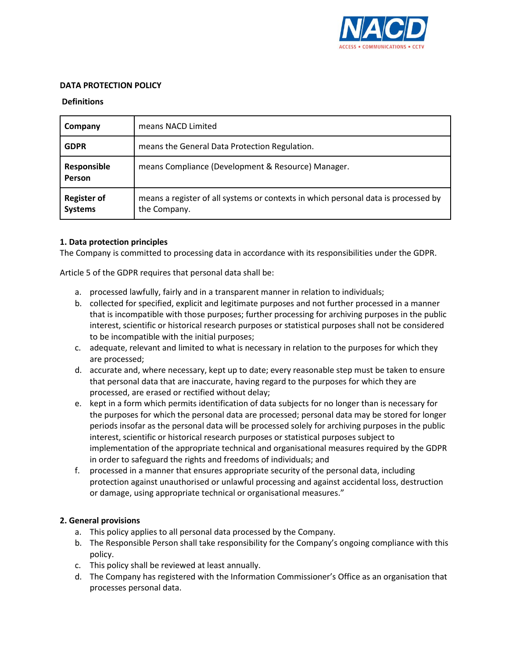

#### **DATA PROTECTION POLICY**

#### **Definitions**

| Company                              | means NACD Limited                                                                                 |
|--------------------------------------|----------------------------------------------------------------------------------------------------|
| <b>GDPR</b>                          | means the General Data Protection Regulation.                                                      |
| Responsible<br>Person                | means Compliance (Development & Resource) Manager.                                                 |
| <b>Register of</b><br><b>Systems</b> | means a register of all systems or contexts in which personal data is processed by<br>the Company. |

## **1. Data protection principles**

The Company is committed to processing data in accordance with its responsibilities under the GDPR.

Article 5 of the GDPR requires that personal data shall be:

- a. processed lawfully, fairly and in a transparent manner in relation to individuals;
- b. collected for specified, explicit and legitimate purposes and not further processed in a manner that is incompatible with those purposes; further processing for archiving purposes in the public interest, scientific or historical research purposes or statistical purposes shall not be considered to be incompatible with the initial purposes;
- c. adequate, relevant and limited to what is necessary in relation to the purposes for which they are processed;
- d. accurate and, where necessary, kept up to date; every reasonable step must be taken to ensure that personal data that are inaccurate, having regard to the purposes for which they are processed, are erased or rectified without delay;
- e. kept in a form which permits identification of data subjects for no longer than is necessary for the purposes for which the personal data are processed; personal data may be stored for longer periods insofar as the personal data will be processed solely for archiving purposes in the public interest, scientific or historical research purposes or statistical purposes subject to implementation of the appropriate technical and organisational measures required by the GDPR in order to safeguard the rights and freedoms of individuals; and
- f. processed in a manner that ensures appropriate security of the personal data, including protection against unauthorised or unlawful processing and against accidental loss, destruction or damage, using appropriate technical or organisational measures."

## **2. General provisions**

- a. This policy applies to all personal data processed by the Company.
- b. The Responsible Person shall take responsibility for the Company's ongoing compliance with this policy.
- c. This policy shall be reviewed at least annually.
- d. The Company has registered with the Information Commissioner's Office as an organisation that processes personal data.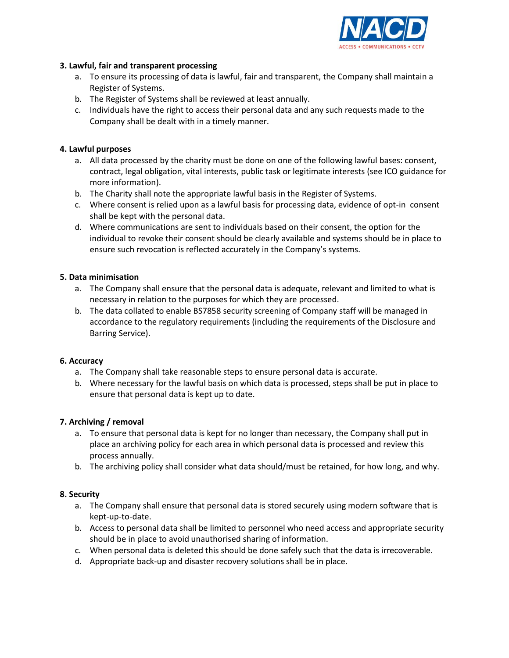

#### **3. Lawful, fair and transparent processing**

- a. To ensure its processing of data is lawful, fair and transparent, the Company shall maintain a Register of Systems.
- b. The Register of Systems shall be reviewed at least annually.
- c. Individuals have the right to access their personal data and any such requests made to the Company shall be dealt with in a timely manner.

# **4. Lawful purposes**

- a. All data processed by the charity must be done on one of the following lawful bases: consent, contract, legal obligation, vital interests, public task or legitimate interests [\(see ICO guidance for](https://ico.org.uk/for-organisations/guide-to-the-general-data-protection-regulation-gdpr/lawful-basis-for-processing/)  [more information\)](https://ico.org.uk/for-organisations/guide-to-the-general-data-protection-regulation-gdpr/lawful-basis-for-processing/).
- b. The Charity shall note the appropriate lawful basis in the Register of Systems.
- c. Where consent is relied upon as a lawful basis for processing data, evidence of opt-in consent shall be kept with the personal data.
- d. Where communications are sent to individuals based on their consent, the option for the individual to revoke their consent should be clearly available and systems should be in place to ensure such revocation is reflected accurately in the Company's systems.

## **5. Data minimisation**

- a. The Company shall ensure that the personal data is adequate, relevant and limited to what is necessary in relation to the purposes for which they are processed.
- b. The data collated to enable BS7858 security screening of Company staff will be managed in accordance to the regulatory requirements (including the requirements of the Disclosure and Barring Service).

## **6. Accuracy**

- a. The Company shall take reasonable steps to ensure personal data is accurate.
- b. Where necessary for the lawful basis on which data is processed, steps shall be put in place to ensure that personal data is kept up to date.

## **7. Archiving / removal**

- a. To ensure that personal data is kept for no longer than necessary, the Company shall put in place an archiving policy for each area in which personal data is processed and review this process annually.
- b. The archiving policy shall consider what data should/must be retained, for how long, and why.

## **8. Security**

- a. The Company shall ensure that personal data is stored securely using modern software that is kept-up-to-date.
- b. Access to personal data shall be limited to personnel who need access and appropriate security should be in place to avoid unauthorised sharing of information.
- c. When personal data is deleted this should be done safely such that the data is irrecoverable.
- d. Appropriate back-up and disaster recovery solutions shall be in place.